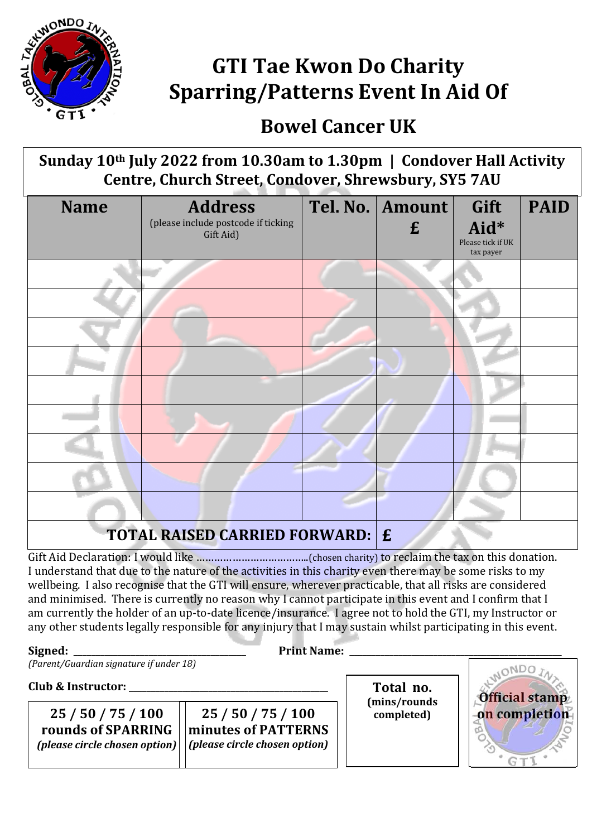

## **GTI Tae Kwon Do Charity Sparring/Patterns Event In Aid Of**

## **Bowel Cancer UK**

**Sunday 10th July 2022 from 10.30am to 1.30pm | Condover Hall Activity Centre, Church Street, Condover, Shrewsbury, SY5 7AU**

| <b>Name</b>                            | <b>Address</b><br>(please include postcode if ticking<br>Gift Aid) |  | Tel. No.   Amount<br>£ | Gift<br>Aid*<br>Please tick if UK<br>tax payer | <b>PAID</b> |  |  |
|----------------------------------------|--------------------------------------------------------------------|--|------------------------|------------------------------------------------|-------------|--|--|
|                                        |                                                                    |  |                        |                                                |             |  |  |
|                                        |                                                                    |  |                        |                                                |             |  |  |
|                                        |                                                                    |  |                        |                                                |             |  |  |
|                                        |                                                                    |  |                        |                                                |             |  |  |
|                                        |                                                                    |  |                        |                                                |             |  |  |
|                                        |                                                                    |  |                        |                                                |             |  |  |
|                                        |                                                                    |  |                        |                                                |             |  |  |
|                                        |                                                                    |  |                        |                                                |             |  |  |
|                                        |                                                                    |  |                        |                                                |             |  |  |
| <b>TOTAL RAISED CARRIED FORWARD: E</b> |                                                                    |  |                        |                                                |             |  |  |

Gift Aid Declaration: I would like ………………………………..(chosen charity) to reclaim the tax on this donation. I understand that due to the nature of the activities in this charity even there may be some risks to my wellbeing. I also recognise that the GTI will ensure, wherever practicable, that all risks are considered and minimised. There is currently no reason why I cannot participate in this event and I confirm that I am currently the holder of an up-to-date licence/insurance. I agree not to hold the GTI, my Instructor or any other students legally responsible for any injury that I may sustain whilst participating in this event.

**Signed: \_\_\_\_\_\_\_\_\_\_\_\_\_\_\_\_\_\_\_\_\_\_\_\_\_\_\_\_\_\_\_\_\_\_\_\_\_\_\_ Print Name: \_\_\_\_\_\_\_\_\_\_\_\_\_\_\_\_\_\_\_\_\_\_\_\_\_\_\_\_\_\_\_\_\_\_\_\_\_\_\_\_\_\_\_\_\_\_\_\_**

*(Parent/Guardian signature if under 18)*

**Club & Instructor: \_\_\_\_\_\_\_\_\_\_\_\_\_\_\_\_\_\_\_\_\_\_\_\_\_\_\_\_\_\_\_\_\_\_\_\_\_\_\_\_\_\_\_\_\_**

**25 / 50 / 75 / 100 on completion 25 / 50 / 75 / 100 rounds of SPARRING** *(please circle chosen option)*

**minutes of PATTERNS** *(please circle chosen option)*

Total no. **(mins/rounds completed)**